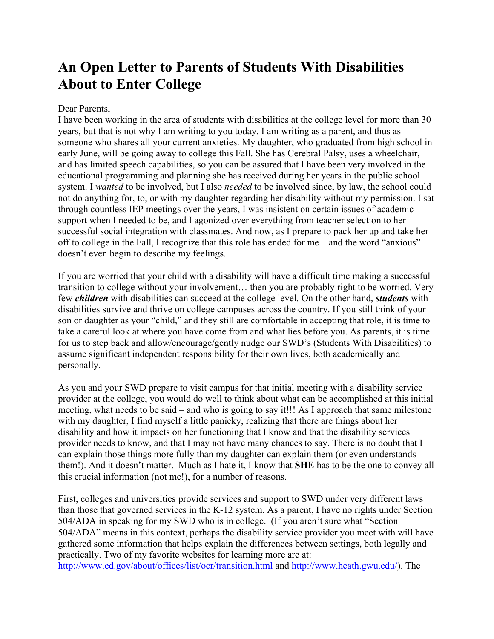## **An Open Letter to Parents of Students With Disabilities About to Enter College**

## Dear Parents,

I have been working in the area of students with disabilities at the college level for more than 30 years, but that is not why I am writing to you today. I am writing as a parent, and thus as someone who shares all your current anxieties. My daughter, who graduated from high school in early June, will be going away to college this Fall. She has Cerebral Palsy, uses a wheelchair, and has limited speech capabilities, so you can be assured that I have been very involved in the educational programming and planning she has received during her years in the public school system. I *wanted* to be involved, but I also *needed* to be involved since, by law, the school could not do anything for, to, or with my daughter regarding her disability without my permission. I sat through countless IEP meetings over the years, I was insistent on certain issues of academic support when I needed to be, and I agonized over everything from teacher selection to her successful social integration with classmates. And now, as I prepare to pack her up and take her off to college in the Fall, I recognize that this role has ended for me – and the word "anxious" doesn't even begin to describe my feelings.

If you are worried that your child with a disability will have a difficult time making a successful transition to college without your involvement… then you are probably right to be worried. Very few *children* with disabilities can succeed at the college level. On the other hand, *students* with disabilities survive and thrive on college campuses across the country. If you still think of your son or daughter as your "child," and they still are comfortable in accepting that role, it is time to take a careful look at where you have come from and what lies before you. As parents, it is time for us to step back and allow/encourage/gently nudge our SWD's (Students With Disabilities) to assume significant independent responsibility for their own lives, both academically and personally.

As you and your SWD prepare to visit campus for that initial meeting with a disability service provider at the college, you would do well to think about what can be accomplished at this initial meeting, what needs to be said – and who is going to say it!!! As I approach that same milestone with my daughter, I find myself a little panicky, realizing that there are things about her disability and how it impacts on her functioning that I know and that the disability services provider needs to know, and that I may not have many chances to say. There is no doubt that I can explain those things more fully than my daughter can explain them (or even understands them!). And it doesn't matter. Much as I hate it, I know that **SHE** has to be the one to convey all this crucial information (not me!), for a number of reasons.

First, colleges and universities provide services and support to SWD under very different laws than those that governed services in the K-12 system. As a parent, I have no rights under Section 504/ADA in speaking for my SWD who is in college. (If you aren't sure what "Section 504/ADA" means in this context, perhaps the disability service provider you meet with will have gathered some information that helps explain the differences between settings, both legally and practically. Two of my favorite websites for learning more are at: http://www.ed.gov/about/offices/list/ocr/transition.html and http://www.heath.gwu.edu/). The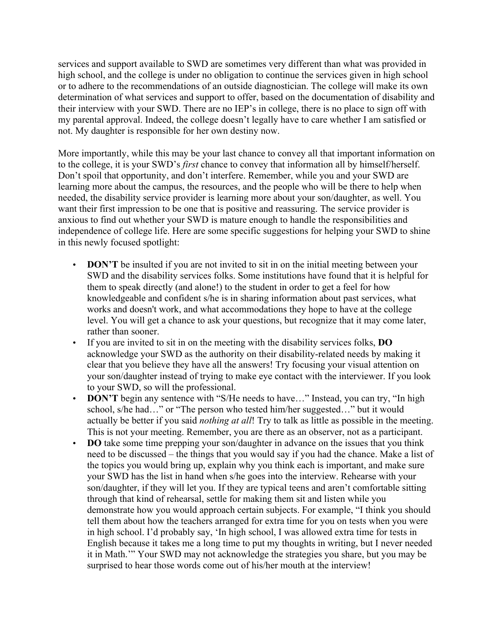services and support available to SWD are sometimes very different than what was provided in high school, and the college is under no obligation to continue the services given in high school or to adhere to the recommendations of an outside diagnostician. The college will make its own determination of what services and support to offer, based on the documentation of disability and their interview with your SWD. There are no IEP's in college, there is no place to sign off with my parental approval. Indeed, the college doesn't legally have to care whether I am satisfied or not. My daughter is responsible for her own destiny now.

More importantly, while this may be your last chance to convey all that important information on to the college, it is your SWD's *first* chance to convey that information all by himself/herself. Don't spoil that opportunity, and don't interfere. Remember, while you and your SWD are learning more about the campus, the resources, and the people who will be there to help when needed, the disability service provider is learning more about your son/daughter, as well. You want their first impression to be one that is positive and reassuring. The service provider is anxious to find out whether your SWD is mature enough to handle the responsibilities and independence of college life. Here are some specific suggestions for helping your SWD to shine in this newly focused spotlight:

- **DON'T** be insulted if you are not invited to sit in on the initial meeting between your SWD and the disability services folks. Some institutions have found that it is helpful for them to speak directly (and alone!) to the student in order to get a feel for how knowledgeable and confident s/he is in sharing information about past services, what works and doesn't work, and what accommodations they hope to have at the college level. You will get a chance to ask your questions, but recognize that it may come later, rather than sooner.
- If you are invited to sit in on the meeting with the disability services folks, **DO**  acknowledge your SWD as the authority on their disability-related needs by making it clear that you believe they have all the answers! Try focusing your visual attention on your son/daughter instead of trying to make eye contact with the interviewer. If you look to your SWD, so will the professional.
- **DON'T** begin any sentence with "S/He needs to have..." Instead, you can try, "In high school, s/he had…" or "The person who tested him/her suggested…" but it would actually be better if you said *nothing at all*! Try to talk as little as possible in the meeting. This is not your meeting. Remember, you are there as an observer, not as a participant.
- **DO** take some time prepping your son/daughter in advance on the issues that you think need to be discussed – the things that you would say if you had the chance. Make a list of the topics you would bring up, explain why you think each is important, and make sure your SWD has the list in hand when s/he goes into the interview. Rehearse with your son/daughter, if they will let you. If they are typical teens and aren't comfortable sitting through that kind of rehearsal, settle for making them sit and listen while you demonstrate how you would approach certain subjects. For example, "I think you should tell them about how the teachers arranged for extra time for you on tests when you were in high school. I'd probably say, 'In high school, I was allowed extra time for tests in English because it takes me a long time to put my thoughts in writing, but I never needed it in Math.'" Your SWD may not acknowledge the strategies you share, but you may be surprised to hear those words come out of his/her mouth at the interview!